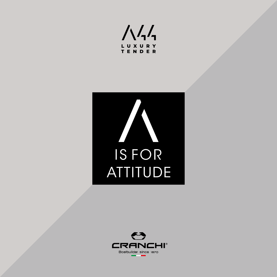



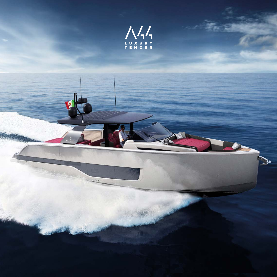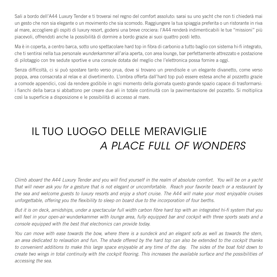Sali a bordo dell'A44 Luxury Tender e ti troverai nel regno del comfort assoluto: sarai su uno yacht che non ti chiederà mai un gesto che non sia elegante o un movimento che sia scomodo. Raggiungere la tua spiaggia preferita o un ristorante in riva al mare, accogliere gli ospiti di luxury resort, godersi una breve crociera: l'A44 renderà indimenticabili le tue "missioni" più piacevoli, offrendoti anche la possibilità di dormire a bordo grazie ai suoi quattro posti letto.

Ma è in coperta, a centro barca, sotto uno spettacolare hard top in fibra di carbonio a tutto baglio con sistema hi-fi integrato, che ti sentirai nella tua personale *wunderkammer* all'aria aperta, con area lounge, bar perfettamente attrezzato e postazione di pilotaggio con tre sedute sportive e una console dotata del meglio che l'elettronica possa fornire a oggi.

Senza difficoltà, ci si può spostare tanto verso prua, dove si trovano un prendisole e un elegante divanetto, come verso poppa, area consacrata al relax e al divertimento. L'ombra offerta dall'hard top può essere estesa anche al pozzetto grazie a comode appendici, così da rendere godibile in ogni momento della giornata questo grande spazio capace di trasformarsi: i fianchi della barca si abbattono per creare due ali in totale continuità con la pavimentazione del pozzetto. Si moltiplica così la superficie a disposizione e le possibilità di accesso al mare.

# IL TUO LUOGO DELLE MERAVIGLIE *A PLACE FULL OF WONDERS*

*Climb aboard the A44 Luxury Tender and you will find yourself in the realm of absolute comfort. You will be on a yacht that will never ask you for a gesture that is not elegant or uncomfortable. Reach your favorite beach or a restaurant by the sea and welcome guests to luxury resorts and enjoy a short cruise. The A44 will make your most enjoyable cruises unforgettable, offering you the flexibility to sleep on board due to the incorporation of four berths.*

*But it is on deck, amidships, under a spectacular full width carbon fibre hard top with an integrated hi-fi system that you will feel in your open-air* wunderkammer *with lounge area, fully equipped bar and cockpit with three sports seats and a console equipped with the best that electronics can provide today.*

*You can move with ease towards the bow, where there is a sundeck and an elegant sofa as well as towards the stern, an area dedicated to relaxation and fun. The shade offered by the hard top can also be extended to the cockpit thanks to convenient additions to make this large space enjoyable at any time of the day. The sides of the boat fold down to create two wings in total continuity with the cockpit flooring. This increases the available surface and the possibilities of accessing the sea.*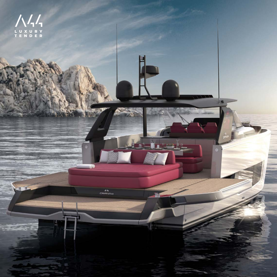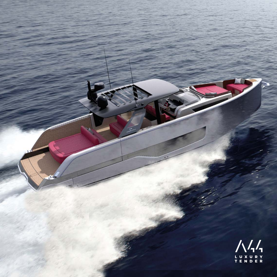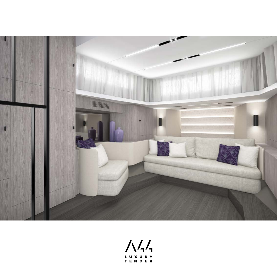

 $\sqrt{\sqrt{2}}$ LUXURY<br>TENDER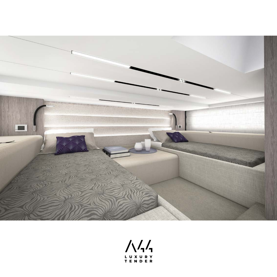

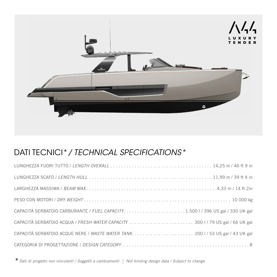

### DATI TECNICI\**/ TECHNICAL SPECIFICATIONS\**

| CAPACITÀ SERBATOIO ACQUE NERE / WASTE WATER TANK.  2001/53 US gal / 43 UK gal |
|-------------------------------------------------------------------------------|
|                                                                               |

\**Dati di progetto non vincolanti / Soggetti a cambiamenti | Not binding design data / Subject to change*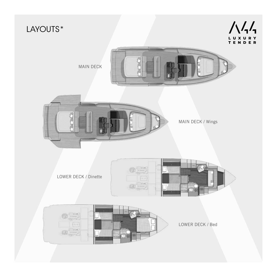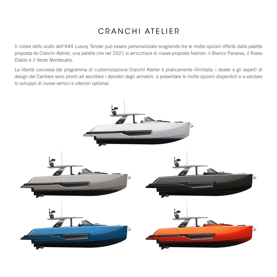# CRANCHI ATELIER

Il colore dello scafo dell'A44 Luxury Tender può essere personalizzato scegliendo tra le molte opzioni offerte dalla palette proposta da Cranchi Atelier; una palette che nel 2021 si arricchisce di nuove proposte fashion: il Bianco Panarea, il Rosso Diablo e il Verde Montecarlo.

La libertà concessa dal programma di customizzazione Cranchi Atelier è praticamente illimitata: i dealer e gli esperti di design del Cantiere sono pronti ad ascoltare i desideri degli armatori, a presentare le molte opzioni disponibili e a valutare lo sviluppo di nuove vernici e ulteriori optional.

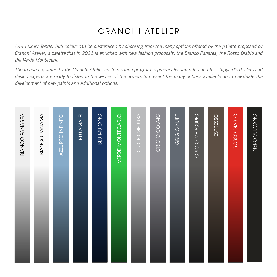# CRANCHI ATELIER

*A44 Luxury Tender hull colour can be customised by choosing from the many options offered by the palette proposed by Cranchi Atelier; a palette that in 2021 is enriched with new fashion proposals, the Bianco Panarea, the Rosso Diablo and the Verde Montecarlo.*

*The freedom granted by the Cranchi Atelier customisation program is practically unlimited and the shipyard's dealers and design experts are ready to listen to the wishes of the owners to present the many options available and to evaluate the development of new paints and additional options.*

| <b>BIANCO PANAREA</b> | <b>BIANCO PANAMA</b> | AZZURRO INFINITO | <b>BLU AMALFI</b> | <b>BLU MURANO</b> | VERDE MONTECARLO | GRIGIO MEDUSA | GRIGIO COSMO | GRIGIO NUBE | GRIGIO MERCURIO | ESPRESSO | ROSSO DIABLO | NERO VULCANO |
|-----------------------|----------------------|------------------|-------------------|-------------------|------------------|---------------|--------------|-------------|-----------------|----------|--------------|--------------|
|                       |                      |                  |                   |                   |                  |               |              |             |                 |          |              |              |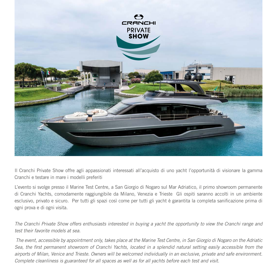

Il Cranchi Private Show offre agli appassionati interessati all'acquisto di uno yacht l'opportunità di visionare la gamma Cranchi e testare in mare i modelli preferiti

L'evento si svolge presso il Marine Test Centre, a San Giorgio di Nogaro sul Mar Adriatico, il primo showroom permanente di Cranchi Yachts, comodamente raggiungibile da Milano, Venezia e Trieste Gli ospiti saranno accolti in un ambiente esclusivo, privato e sicuro. Per tutti gli spazi così come per tutti gli yacht è garantita la completa sanificazione prima di ogni prova e di ogni visita.

*The Cranchi Private Show offers enthusiasts interested in buying a yacht the opportunity to view the Cranchi range and test their favorite models at sea.*

 *The event, accessible by appointment only, takes place at the Marine Test Centre, in San Giorgio di Nogaro on the Adriatic Sea, the first permanent showroom of Cranchi Yachts, located in a splendid natural setting easily accessible from the airports of Milan, Venice and Trieste. Owners will be welcomed individually in an exclusive, private and safe environment. Complete cleanliness is guaranteed for all spaces as well as for all yachts before each test and visit.*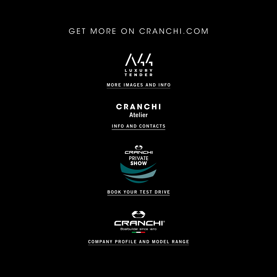#### GET MORE ON CRANCHI.COM



[MORE IMAGES AND INFO](https://www.cranchi.com/yachts/a44-luxury-tender?utm_source=brochure&utm_medium=pdf&utm_content=A44)

**CRANCHI** Atelier

[INFO AND CONTACTS](https://www.cranchi.com/yachts/a44-luxury-tender?utm_source=brochure&utm_medium=pdf&utm_content=A44)



[BOOK YOUR TEST DRIVE](https://www.cranchi.com/contacts/cranchi-private-show?utm_source=brochure&utm_medium=pdf&utm_content=A44)



[COMPANY PROFILE AND MODEL RANGE](https://www.cranchi.com?utm_source=brochure&utm_medium=pdf&utm_content=A44)